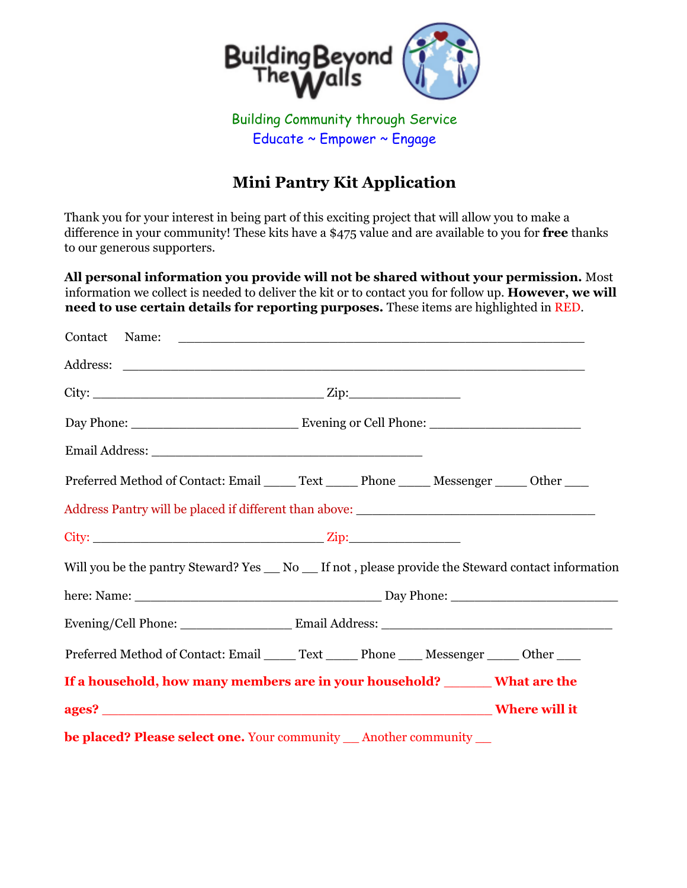

## Building Community through Service Educate ~ Empower ~ Engage

## **Mini Pantry Kit Application**

Thank you for your interest in being part of this exciting project that will allow you to make a difference in your community! These kits have a \$475 value and are available to you for **free** thanks to our generous supporters.

**All personal information you provide will not be shared without your permission.** Most information we collect is needed to deliver the kit or to contact you for follow up. **However, we will need to use certain details for reporting purposes.** These items are highlighted in RED.

| Preferred Method of Contact: Email ______ Text ______ Phone ______ Messenger _____ Other ____       |  |  |  |  |  |  |  |  |  |
|-----------------------------------------------------------------------------------------------------|--|--|--|--|--|--|--|--|--|
|                                                                                                     |  |  |  |  |  |  |  |  |  |
| City: $\qquad \qquad \qquad \text{Lip:}\qquad \qquad$                                               |  |  |  |  |  |  |  |  |  |
| Will you be the pantry Steward? Yes __ No __ If not, please provide the Steward contact information |  |  |  |  |  |  |  |  |  |
|                                                                                                     |  |  |  |  |  |  |  |  |  |
|                                                                                                     |  |  |  |  |  |  |  |  |  |
| Preferred Method of Contact: Email ______ Text ______ Phone _____ Messenger _____ Other ____        |  |  |  |  |  |  |  |  |  |
| If a household, how many members are in your household? ______ What are the                         |  |  |  |  |  |  |  |  |  |
|                                                                                                     |  |  |  |  |  |  |  |  |  |
| <b>be placed? Please select one.</b> Your community __ Another community __                         |  |  |  |  |  |  |  |  |  |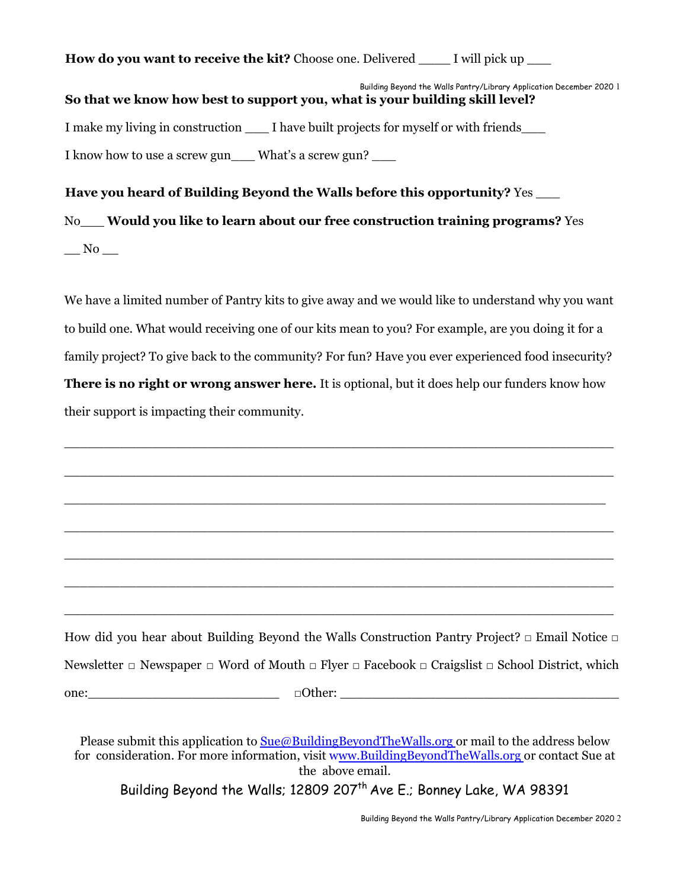**How do you want to receive the kit?** Choose one. Delivered \_\_\_\_ I will pick up \_\_\_

Building Beyond the Walls Pantry/Library Application December 2020 1 **So that we know how best to support you, what is your building skill level?** I make my living in construction  $\quad \blacksquare$  I have built projects for myself or with friends I know how to use a screw gun What's a screw gun?

**Have you heard of Building Beyond the Walls before this opportunity?** Yes \_\_\_

No\_\_\_ **Would you like to learn about our free construction training programs?** Yes

 $\sqrt{N_0}$ 

We have a limited number of Pantry kits to give away and we would like to understand why you want to build one. What would receiving one of our kits mean to you? For example, are you doing it for a family project? To give back to the community? For fun? Have you ever experienced food insecurity? **There is no right or wrong answer here.** It is optional, but it does help our funders know how their support is impacting their community.



Please submit this application to Sue@BuildingBeyondTheWalls.org or mail to the address below for consideration. For more information, visit www.BuildingBeyondTheWalls.org or contact Sue at the above email.

Building Beyond the Walls; 12809 207<sup>th</sup> Ave E.; Bonney Lake, WA 98391